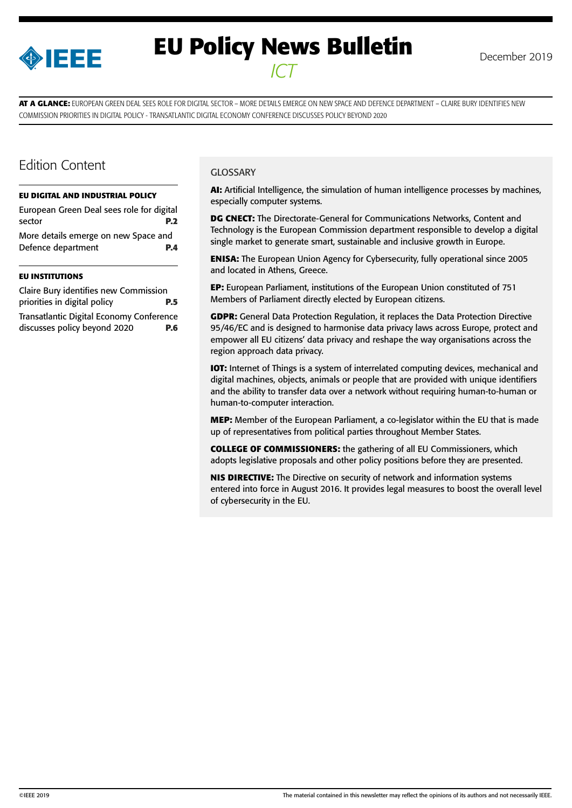

# **EU Policy News Bulletin** December 2019 *ICT*

**AT A GLANCE:** EUROPEAN GREEN DEAL SEES ROLE FOR DIGITAL SECTOR – MORE DETAILS EMERGE ON NEW SPACE AND DEFENCE DEPARTMENT – CLAIRE BURY IDENTIFIES NEW COMMISSION PRIORITIES IN DIGITAL POLICY - TRANSATLANTIC DIGITAL ECONOMY CONFERENCE DISCUSSES POLICY BEYOND 2020

### Edition Content

#### **[EU DIGITAL AND INDUSTRIAL POLICY](#page-1-0)**

[European Green Deal sees role for digital](#page-1-0)  [sector](#page-1-0) **P.2** [More details emerge on new Space and](#page-3-0)  [Defence department](#page-3-0) **P.4** 

#### **[EU INSTITUTIONS](#page-4-0)**

| Claire Bury identifies new Commission    |            |
|------------------------------------------|------------|
| priorities in digital policy             | <b>P.5</b> |
| Transatlantic Digital Economy Conference |            |
| discusses policy beyond 2020             | <b>P.6</b> |

#### **GLOSSARY**

**AI:** Artificial Intelligence, the simulation of human intelligence processes by machines, especially computer systems.

**DG CNECT:** The Directorate-General for Communications Networks, Content and Technology is the European Commission department responsible to develop a digital single market to generate smart, sustainable and inclusive growth in Europe.

**ENISA:** The European Union Agency for Cybersecurity, fully operational since 2005 and located in Athens, Greece.

**EP:** European Parliament, institutions of the European Union constituted of 751 Members of Parliament directly elected by European citizens.

**GDPR:** General Data Protection Regulation, it replaces the Data Protection Directive 95/46/EC and is designed to harmonise data privacy laws across Europe, protect and empower all EU citizens' data privacy and reshape the way organisations across the region approach data privacy.

**IOT:** Internet of Things is a system of interrelated computing devices, mechanical and digital machines, objects, animals or people that are provided with unique identifiers and the ability to transfer data over a network without requiring human-to-human or human-to-computer interaction.

**MEP:** Member of the European Parliament, a co-legislator within the EU that is made up of representatives from political parties throughout Member States.

**COLLEGE OF COMMISSIONERS:** the gathering of all EU Commissioners, which adopts legislative proposals and other policy positions before they are presented.

**NIS DIRECTIVE:** The Directive on security of network and information systems entered into force in August 2016. It provides legal measures to boost the overall level of cybersecurity in the EU.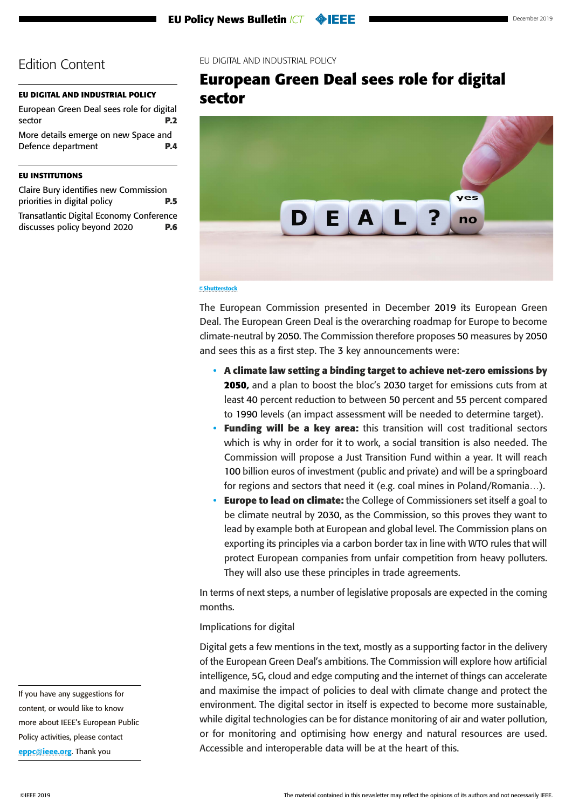### <span id="page-1-0"></span>**EU DIGITAL AND INDUSTRIAL POLICY**

European Green Deal sees role for digital sector **P.2** [More details emerge on new Space and](#page-3-0)  [Defence department](#page-3-0) **P.4** 

### **[EU INSTITUTIONS](#page-4-0)**

[Claire Bury identifies new Commission](#page-4-0)  [priorities in digital policy](#page-4-0) **P.5** [Transatlantic Digital Economy Conference](#page-5-0)  [discusses policy beyond 2020](#page-5-0) **P.6**

### EU DIGITAL AND INDUSTRIAL POLICY

### **European Green Deal sees role for digital sector**



#### ©Shutterstock

The European Commission presented in December 2019 its European Green Deal. The European Green Deal is the overarching roadmap for Europe to become climate-neutral by 2050. The Commission therefore proposes 50 measures by 2050 and sees this as a first step. The 3 key announcements were:

- **A climate law setting a binding target to achieve net-zero emissions by 2050,** and a plan to boost the bloc's 2030 target for emissions cuts from at least 40 percent reduction to between 50 percent and 55 percent compared to 1990 levels (an impact assessment will be needed to determine target).
- **Funding will be a key area:** this transition will cost traditional sectors which is why in order for it to work, a social transition is also needed. The Commission will propose a Just Transition Fund within a year. It will reach 100 billion euros of investment (public and private) and will be a springboard for regions and sectors that need it (e.g. coal mines in Poland/Romania…).
- **Europe to lead on climate:** the College of Commissioners set itself a goal to be climate neutral by 2030, as the Commission, so this proves they want to lead by example both at European and global level. The Commission plans on exporting its principles via a carbon border tax in line with WTO rules that will protect European companies from unfair competition from heavy polluters. They will also use these principles in trade agreements.

In terms of next steps, a number of legislative proposals are expected in the coming months.

### Implications for digital

Digital gets a few mentions in the text, mostly as a supporting factor in the delivery of the European Green Deal's ambitions. The Commission will explore how artificial intelligence, 5G, cloud and edge computing and the internet of things can accelerate and maximise the impact of policies to deal with climate change and protect the environment. The digital sector in itself is expected to become more sustainable, while digital technologies can be for distance monitoring of air and water pollution, or for monitoring and optimising how energy and natural resources are used. Accessible and interoperable data will be at the heart of this.

If you have any suggestions for content, or would like to know more about IEEE's European Public Policy activities, please contact [eppc@ieee.org](mailto:eppc%40ieee.org?subject=). Thank you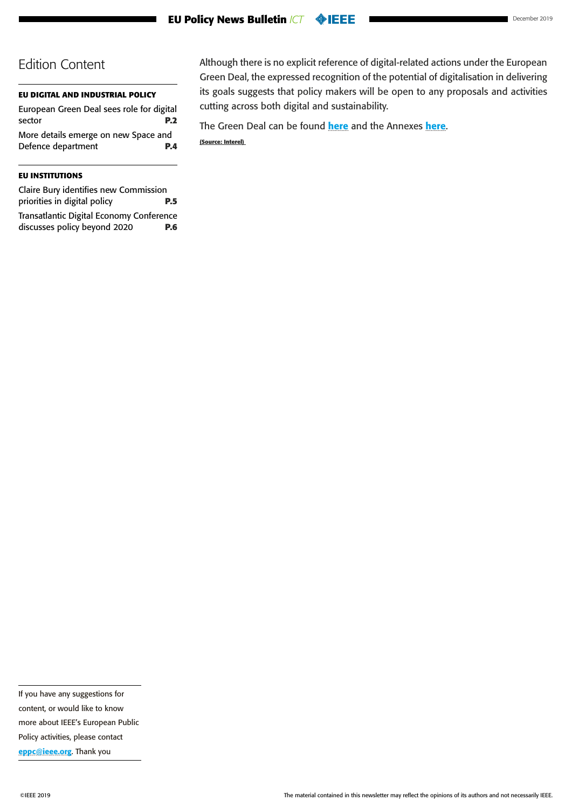### **[EU DIGITAL AND INDUSTRIAL POLICY](#page-1-0)**

[European Green Deal sees role for digital](#page-1-0)  [sector](#page-1-0) **P.2** [More details emerge on new Space and](#page-3-0)  [Defence department](#page-3-0) **P.4** 

### **[EU INSTITUTIONS](#page-4-0)**

| Claire Bury identifies new Commission    |            |
|------------------------------------------|------------|
| priorities in digital policy             | <b>P.5</b> |
| Transatlantic Digital Economy Conference |            |
| discusses policy beyond 2020             | <b>P.6</b> |

Although there is no explicit reference of digital-related actions under the European Green Deal, the expressed recognition of the potential of digitalisation in delivering its goals suggests that policy makers will be open to any proposals and activities cutting across both digital and sustainability.

The Green Deal can be found [here](https://www.politico.eu/wp-content/uploads/2019/12/Annex-to-the-European-Green-Deal-Communication-copy.pdf?utm_source=POLITICO.EU&utm_campaign=92a7d17d45-EMAIL_CAMPAIGN_2019_12_11_01_41&utm_medium=email&utm_term=0_10959edeb5-92a7d17d45-189944749) and the Annexes here. **(Source: Interel)** 

If you have any suggestions for content, or would like to know more about IEEE's European Public Policy activities, please contact [eppc@ieee.org](mailto:eppc%40ieee.org?subject=). Thank you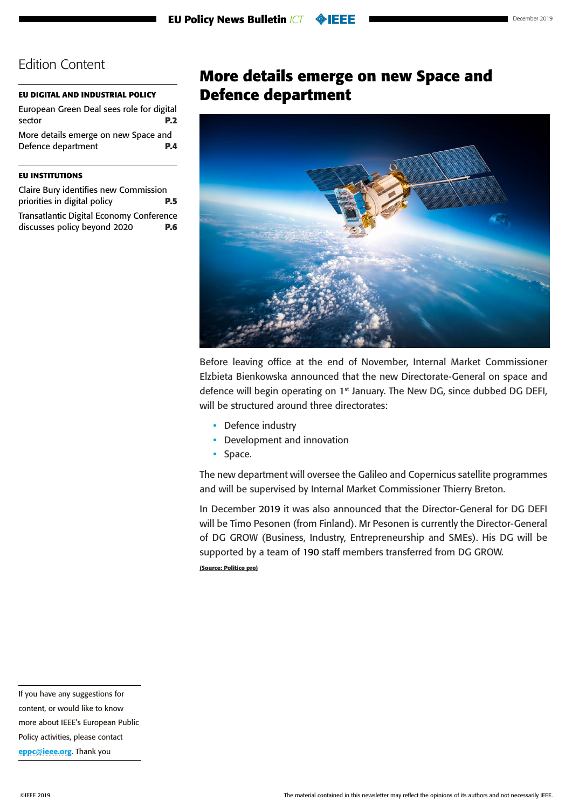### <span id="page-3-0"></span>**[EU DIGITAL AND INDUSTRIAL POLICY](#page-1-0)**

[European Green Deal sees role for digital](#page-1-0)  [sector](#page-1-0) **P.2** More details emerge on new Space and Defence department **P.4** 

### **[EU INSTITUTIONS](#page-4-0)**

[Claire Bury identifies new Commission](#page-4-0)  [priorities in digital policy](#page-4-0) **P.5** [Transatlantic Digital Economy Conference](#page-5-0)  [discusses policy beyond 2020](#page-5-0) **P.6**

### **More details emerge on new Space and Defence department**



Before leaving office at the end of November, Internal Market Commissioner Elzbieta Bienkowska announced that the new Directorate-General on space and defence will begin operating on 1<sup>st</sup> January. The New DG, since dubbed DG DEFI, will be structured around three directorates:

- Defence industry
- Development and innovation
- Space.

The new department will oversee the Galileo and Copernicus satellite programmes and will be supervised by Internal Market Commissioner Thierry Breton.

In December 2019 it was also announced that the Director-General for DG DEFI will be Timo Pesonen (from Finland). Mr Pesonen is currently the Director-General of DG GROW (Business, Industry, Entrepreneurship and SMEs). His DG will be supported by a team of 190 staff members transferred from DG GROW. **(Source: Politico pro)**

If you have any suggestions for

content, or would like to know

more about IEEE's European Public

Policy activities, please contact

[eppc@ieee.org](mailto:eppc%40ieee.org?subject=). Thank you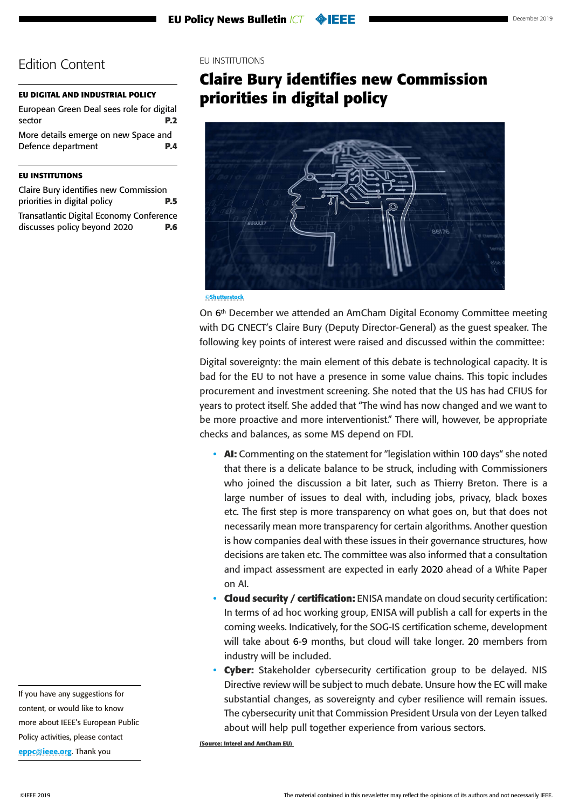#### <span id="page-4-0"></span>**[EU DIGITAL AND INDUSTRIAL POLICY](#page-1-0)**

| European Green Deal sees role for digital |            |
|-------------------------------------------|------------|
| sector                                    | <b>P.2</b> |
| More details emerge on new Space and      |            |
| Defence department                        | <b>P.4</b> |
|                                           |            |

#### **EU INSTITUTIONS**

| Claire Bury identifies new Commission    |            |
|------------------------------------------|------------|
| priorities in digital policy             | <b>P.5</b> |
| Transatlantic Digital Economy Conference |            |
| discusses policy beyond 2020             | P.6        |

### EU INSTITUTIONS

## **Claire Bury identifies new Commission priorities in digital policy**



©Shutterstock

On 6th December we attended an AmCham Digital Economy Committee meeting with DG CNECT's Claire Bury (Deputy Director-General) as the guest speaker. The following key points of interest were raised and discussed within the committee:

Digital sovereignty: the main element of this debate is technological capacity. It is bad for the EU to not have a presence in some value chains. This topic includes procurement and investment screening. She noted that the US has had CFIUS for years to protect itself. She added that "The wind has now changed and we want to be more proactive and more interventionist." There will, however, be appropriate checks and balances, as some MS depend on FDI.

- **AI:** Commenting on the statement for "legislation within 100 days" she noted that there is a delicate balance to be struck, including with Commissioners who joined the discussion a bit later, such as Thierry Breton. There is a large number of issues to deal with, including jobs, privacy, black boxes etc. The first step is more transparency on what goes on, but that does not necessarily mean more transparency for certain algorithms. Another question is how companies deal with these issues in their governance structures, how decisions are taken etc. The committee was also informed that a consultation and impact assessment are expected in early 2020 ahead of a White Paper on AI.
- **Cloud security / certification:** ENISA mandate on cloud security certification: In terms of ad hoc working group, ENISA will publish a call for experts in the coming weeks. Indicatively, for the SOG-IS certification scheme, development will take about 6-9 months, but cloud will take longer. 20 members from industry will be included.
- **Cyber:** Stakeholder cybersecurity certification group to be delayed. NIS Directive review will be subject to much debate. Unsure how the EC will make substantial changes, as sovereignty and cyber resilience will remain issues. The cybersecurity unit that Commission President Ursula von der Leyen talked about will help pull together experience from various sectors.

**(Source: Interel and AmCham EU)**